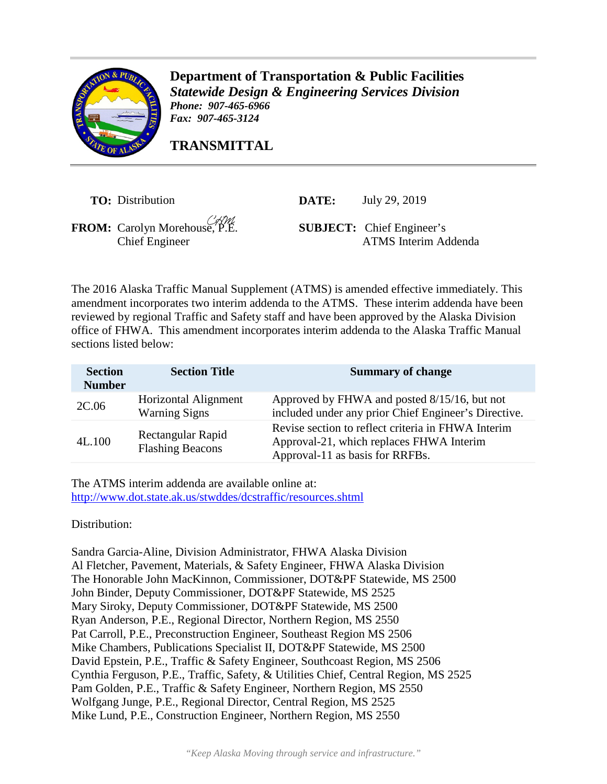

**Department of Transportation & Public Facilities** *Statewide Design & Engineering Services Division Phone: 907-465-6966 Fax: 907-465-3124* 

**TRANSMITTAL**

**TO:** Distribution

**DATE:** July 29, 2019

**FROM:** Carolyn Morehouse, P.E.

**SUBJECT:** Chief Engineer's Chief Engineer ATMS Interim Addenda

The 2016 Alaska Traffic Manual Supplement (ATMS) is amended effective immediately. This amendment incorporates two interim addenda to the ATMS. These interim addenda have been reviewed by regional Traffic and Safety staff and have been approved by the Alaska Division office of FHWA. This amendment incorporates interim addenda to the Alaska Traffic Manual sections listed below:

| <b>Section</b><br><b>Number</b> | <b>Section Title</b>                         | <b>Summary of change</b>                                                                                                          |
|---------------------------------|----------------------------------------------|-----------------------------------------------------------------------------------------------------------------------------------|
| 2C.06                           | Horizontal Alignment<br><b>Warning Signs</b> | Approved by FHWA and posted 8/15/16, but not<br>included under any prior Chief Engineer's Directive.                              |
| 4L.100                          | Rectangular Rapid<br><b>Flashing Beacons</b> | Revise section to reflect criteria in FHWA Interim<br>Approval-21, which replaces FHWA Interim<br>Approval-11 as basis for RRFBs. |

The ATMS interim addenda are available online at: http://www.dot.state.ak.us/stwddes/dcstraffic/resources.shtml

Distribution:

Sandra Garcia-Aline, Division Administrator, FHWA Alaska Division Al Fletcher, Pavement, Materials, & Safety Engineer, FHWA Alaska Division The Honorable John MacKinnon, Commissioner, DOT&PF Statewide, MS 2500 John Binder, Deputy Commissioner, DOT&PF Statewide, MS 2525 Mary Siroky, Deputy Commissioner, DOT&PF Statewide, MS 2500 Ryan Anderson, P.E., Regional Director, Northern Region, MS 2550 Pat Carroll, P.E., Preconstruction Engineer, Southeast Region MS 2506 Mike Chambers, Publications Specialist II, DOT&PF Statewide, MS 2500 David Epstein, P.E., Traffic & Safety Engineer, Southcoast Region, MS 2506 Cynthia Ferguson, P.E., Traffic, Safety, & Utilities Chief, Central Region, MS 2525 Pam Golden, P.E., Traffic & Safety Engineer, Northern Region, MS 2550 Wolfgang Junge, P.E., Regional Director, Central Region, MS 2525 Mike Lund, P.E., Construction Engineer, Northern Region, MS 2550